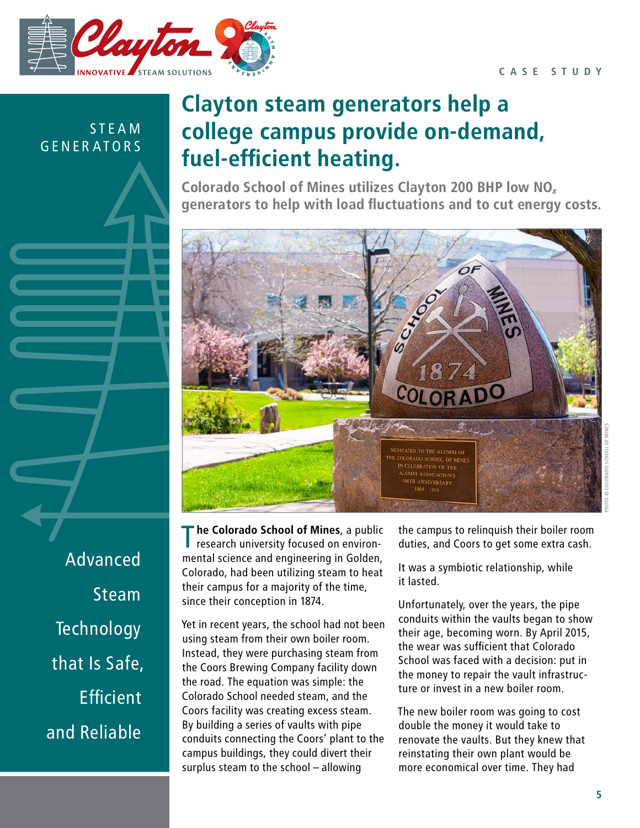#### **CASE STUDY**



S T E A M **GENERATORS** 

# **Clayton steam generators help a college campus provide on-demand, fuel-efficient heating.**

**Colorado School of Mines utilizes Clayton 200 BHP low NO***<sup>x</sup>* **generators to help with load fluctuations and to cut energy costs.**



Advanced Steam **Technology** that Is Safe, **Efficient** and Reliable

**The Colorado School of Mines**, a public<br>research university focused on environ-<br>mental science and engineering in Golden. research university focused on environmental science and engineering in Golden, Colorado, had been utilizing steam to heat their campus for a majority of the time, since their conception in 1874.

Yet in recent years, the school had not been using steam from their own boiler room. Instead, they were purchasing steam from the Coors Brewing Company facility down the road. The equation was simple: the Colorado School needed steam, and the Coors facility was creating excess steam. By building a series of vaults with pipe conduits connecting the Coors' plant to the campus buildings, they could divert their surplus steam to the school – allowing

the campus to relinquish their boiler room duties, and Coors to get some extra cash.

It was a symbiotic relationship, while it lasted.

Unfortunately, over the years, the pipe conduits within the vaults began to show their age, becoming worn. By April 2015, the wear was sufficient that Colorado School was faced with a decision: put in the money to repair the vault infrastructure or invest in a new boiler room.

The new boiler room was going to cost double the money it would take to renovate the vaults. But they knew that reinstating their own plant would be more economical over time. They had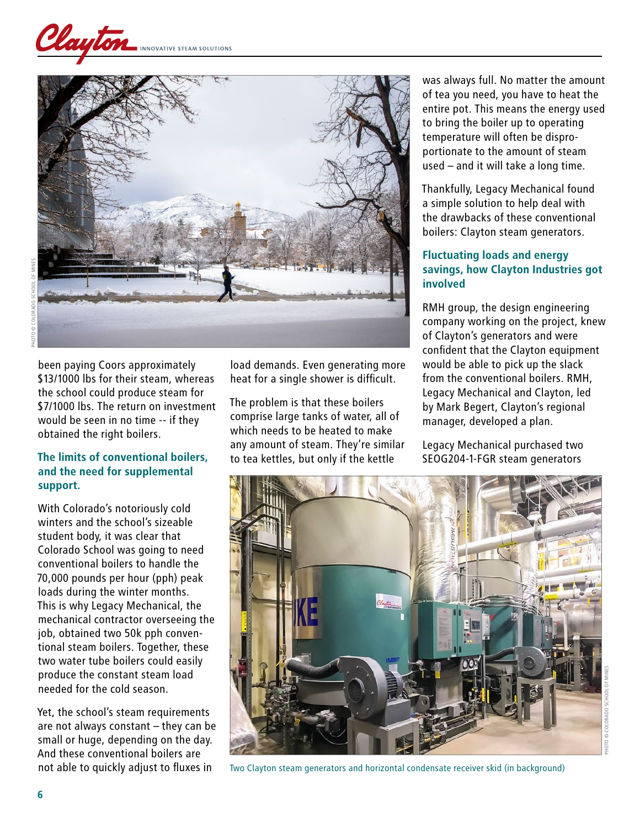



been paying Coors approximately \$13/1000 lbs for their steam, whereas the school could produce steam for \$7/1000 lbs. The return on investment would be seen in no time -- if they obtained the right boilers.

#### **The limits of conventional boilers, and the need for supplemental support.**

With Colorado's notoriously cold winters and the school's sizeable student body, it was clear that Colorado School was going to need conventional boilers to handle the 70,000 pounds per hour (pph) peak loads during the winter months. This is why Legacy Mechanical, the mechanical contractor overseeing the job, obtained two 50k pph conventional steam boilers. Together, these two water tube boilers could easily produce the constant steam load needed for the cold season.

Yet, the school's steam requirements are not always constant – they can be small or huge, depending on the day. And these conventional boilers are not able to quickly adjust to fluxes in

load demands. Even generating more heat for a single shower is difficult.

The problem is that these boilers comprise large tanks of water, all of which needs to be heated to make any amount of steam. They're similar to tea kettles, but only if the kettle

was always full. No matter the amount of tea you need, you have to heat the entire pot. This means the energy used to bring the boiler up to operating temperature will often be disproportionate to the amount of steam used – and it will take a long time.

Thankfully, Legacy Mechanical found a simple solution to help deal with the drawbacks of these conventional boilers: Clayton steam generators.

#### **Fluctuating loads and energy savings, how Clayton Industries got involved**

RMH group, the design engineering company working on the project, knew of Clayton's generators and were confident that the Clayton equipment would be able to pick up the slack from the conventional boilers. RMH, Legacy Mechanical and Clayton, led by Mark Begert, Clayton's regional manager, developed a plan.

Legacy Mechanical purchased two SEOG204-1-FGR steam generators



PHOTO © COLORADO SCHOOL OF MINES

Two Clayton steam generators and horizontal condensate receiver skid (in background)